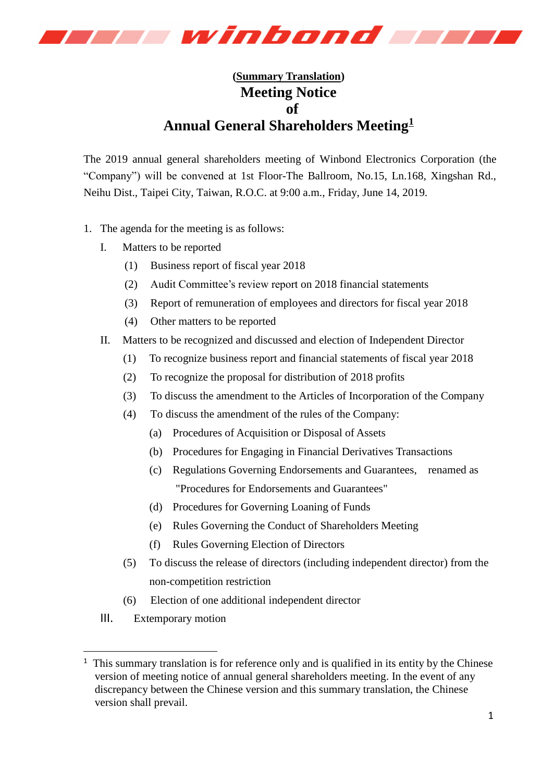

## **(Summary Translation) Meeting Notice of Annual General Shareholders Meeting<sup>1</sup>**

The 2019 annual general shareholders meeting of Winbond Electronics Corporation (the "Company") will be convened at 1st Floor-The Ballroom, No.15, Ln.168, Xingshan Rd., Neihu Dist., Taipei City, Taiwan, R.O.C. at 9:00 a.m., Friday, June 14, 2019.

- 1. The agenda for the meeting is as follows:
	- I. Matters to be reported
		- (1) Business report of fiscal year 2018
		- (2) Audit Committee's review report on 2018 financial statements
		- (3) Report of remuneration of employees and directors for fiscal year 2018
		- (4) Other matters to be reported
	- II. Matters to be recognized and discussed and election of Independent Director
		- (1) To recognize business report and financial statements of fiscal year 2018
		- (2) To recognize the proposal for distribution of 2018 profits
		- (3) To discuss the amendment to the Articles of Incorporation of the Company
		- (4) To discuss the amendment of the rules of the Company:
			- (a) Procedures of Acquisition or Disposal of Assets
			- (b) Procedures for Engaging in Financial Derivatives Transactions
			- (c) Regulations Governing Endorsements and Guarantees, renamed as "Procedures for Endorsements and Guarantees"
			- (d) Procedures for Governing Loaning of Funds
			- (e) Rules Governing the Conduct of Shareholders Meeting
			- (f) Rules Governing Election of Directors
		- (5) To discuss the release of directors (including independent director) from the non-competition restriction
		- (6) Election of one additional independent director
	- III. Extemporary motion

-

 $<sup>1</sup>$  This summary translation is for reference only and is qualified in its entity by the Chinese</sup> version of meeting notice of annual general shareholders meeting. In the event of any discrepancy between the Chinese version and this summary translation, the Chinese version shall prevail.